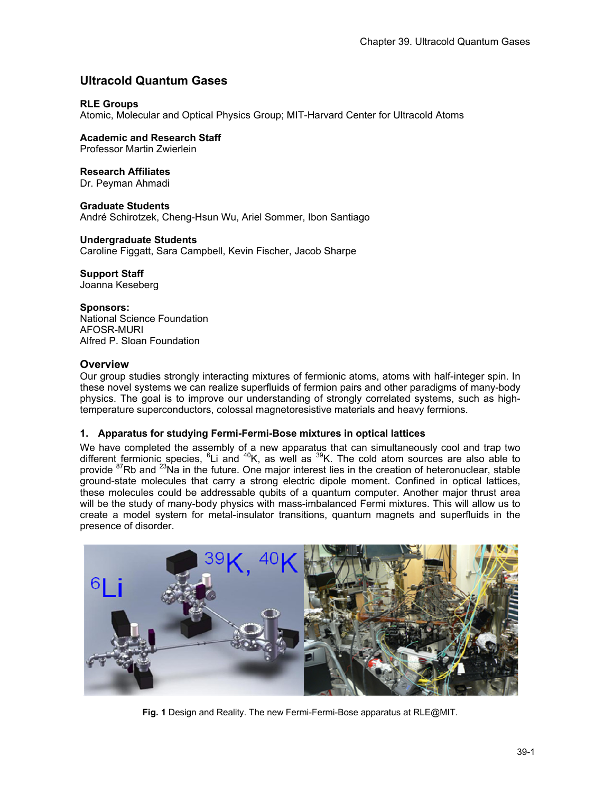# **Ultracold Quantum Gases**

## **RLE Groups**

Atomic, Molecular and Optical Physics Group; MIT-Harvard Center for Ultracold Atoms

**Academic and Research Staff**  Professor Martin Zwierlein

**Research Affiliates** 

Dr. Peyman Ahmadi

**Graduate Students** 

André Schirotzek, Cheng-Hsun Wu, Ariel Sommer, Ibon Santiago

#### **Undergraduate Students**

Caroline Figgatt, Sara Campbell, Kevin Fischer, Jacob Sharpe

# **Support Staff**

Joanna Keseberg

### **Sponsors:**

National Science Foundation AFOSR-MURI Alfred P. Sloan Foundation

## **Overview**

Our group studies strongly interacting mixtures of fermionic atoms, atoms with half-integer spin. In these novel systems we can realize superfluids of fermion pairs and other paradigms of many-body physics. The goal is to improve our understanding of strongly correlated systems, such as hightemperature superconductors, colossal magnetoresistive materials and heavy fermions.

#### **1. Apparatus for studying Fermi-Fermi-Bose mixtures in optical lattices**

We have completed the assembly of a new apparatus that can simultaneously cool and trap two different fermionic species, <sup>6</sup>Li and <sup>40</sup>K, as well as <sup>39</sup>K. The cold atom sources are also able to provide <sup>87</sup>Rb and <sup>23</sup>Na in the future. One major interest lies in the creation of heteronuclear, stable ground-state molecules that carry a strong electric dipole moment. Confined in optical lattices, these molecules could be addressable qubits of a quantum computer. Another major thrust area will be the study of many-body physics with mass-imbalanced Fermi mixtures. This will allow us to create a model system for metal-insulator transitions, quantum magnets and superfluids in the presence of disorder.



**Fig. 1** Design and Reality. The new Fermi-Fermi-Bose apparatus at RLE@MIT.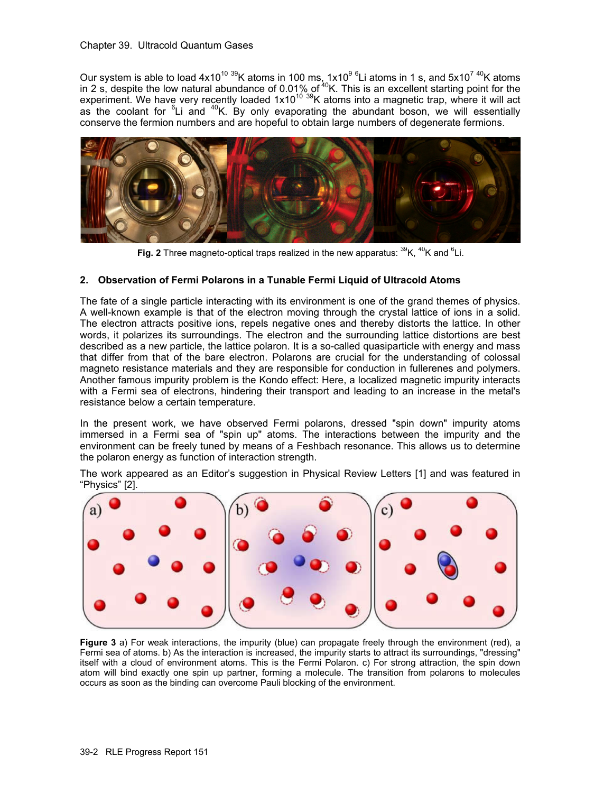Our system is able to load  $4x10^{10}$  <sup>39</sup>K atoms in 100 ms, 1x10<sup>9 6</sup>Li atoms in 1 s, and 5x10<sup>7 40</sup>K atoms in 2 s, despite the low natural abundance of 0.01% of  $40$ K. This is an excellent starting point for the experiment. We have very recently loaded 1x10<sup>10 39</sup>K atoms into a magnetic trap, where it will act as the coolant for  ${}^{6}$ Li and  ${}^{40}$ K. By only evaporating the abundant boson, we will essentially conserve the fermion numbers and are hopeful to obtain large numbers of degenerate fermions.



Fig. 2 Three magneto-optical traps realized in the new apparatus: <sup>39</sup>K, <sup>40</sup>K and <sup>6</sup>Li.

# **2. Observation of Fermi Polarons in a Tunable Fermi Liquid of Ultracold Atoms**

The fate of a single particle interacting with its environment is one of the grand themes of physics. A well-known example is that of the electron moving through the crystal lattice of ions in a solid. The electron attracts positive ions, repels negative ones and thereby distorts the lattice. In other words, it polarizes its surroundings. The electron and the surrounding lattice distortions are best described as a new particle, the lattice polaron. It is a so-called quasiparticle with energy and mass that differ from that of the bare electron. Polarons are crucial for the understanding of colossal magneto resistance materials and they are responsible for conduction in fullerenes and polymers. Another famous impurity problem is the Kondo effect: Here, a localized magnetic impurity interacts with a Fermi sea of electrons, hindering their transport and leading to an increase in the metal's resistance below a certain temperature.

In the present work, we have observed Fermi polarons, dressed "spin down" impurity atoms immersed in a Fermi sea of "spin up" atoms. The interactions between the impurity and the environment can be freely tuned by means of a Feshbach resonance. This allows us to determine the polaron energy as function of interaction strength.

The work appeared as an Editor's suggestion in Physical Review Letters [1] and was featured in "Physics" [2].



**Figure 3** a) For weak interactions, the impurity (blue) can propagate freely through the environment (red), a Fermi sea of atoms. b) As the interaction is increased, the impurity starts to attract its surroundings, "dressing" itself with a cloud of environment atoms. This is the Fermi Polaron. c) For strong attraction, the spin down atom will bind exactly one spin up partner, forming a molecule. The transition from polarons to molecules occurs as soon as the binding can overcome Pauli blocking of the environment.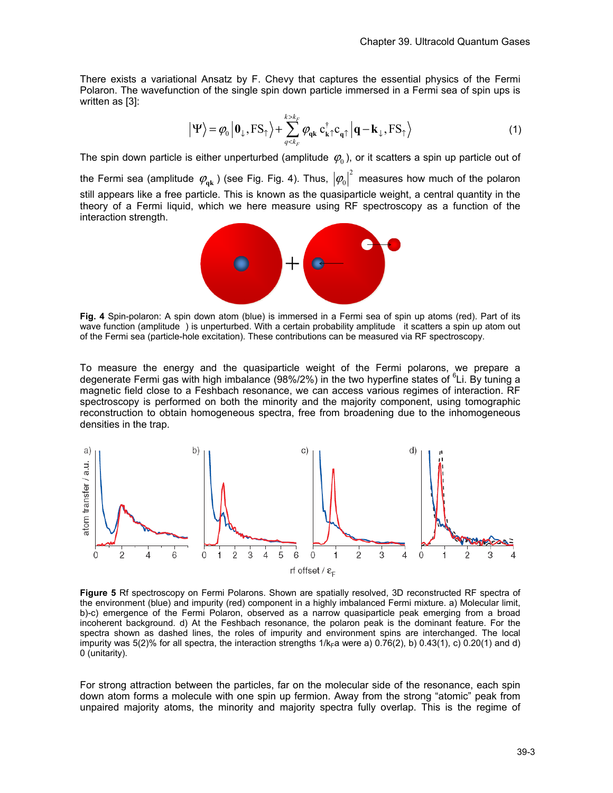There exists a variational Ansatz by F. Chevy that captures the essential physics of the Fermi Polaron. The wavefunction of the single spin down particle immersed in a Fermi sea of spin ups is written as [3]:

$$
\left| \Psi \right\rangle = \varphi_0 \left| \mathbf{0}_{\downarrow}, \mathrm{FS}_{\uparrow} \right\rangle + \sum_{q < k_F}^{k > k_F} \varphi_{q\mathbf{k}} \, \mathbf{c}_{\mathbf{k}\uparrow}^{\dagger} \mathbf{c}_{q\uparrow} \left| \mathbf{q} - \mathbf{k}_{\downarrow}, \mathrm{FS}_{\uparrow} \right\rangle \tag{1}
$$

The spin down particle is either unperturbed (amplitude  $\varphi_0$ ), or it scatters a spin up particle out of

the Fermi sea (amplitude  $\varphi_{\rm qk}$  ) (see Fig. Fig. 4). Thus,  $\left|\varphi_{\rm 0}\right|^2$  measures how much of the polaron still appears like a free particle. This is known as the quasiparticle weight, a central quantity in the theory of a Fermi liquid, which we here measure using RF spectroscopy as a function of the interaction strength.



**Fig. 4** Spin-polaron: A spin down atom (blue) is immersed in a Fermi sea of spin up atoms (red). Part of its wave function (amplitude ) is unperturbed. With a certain probability amplitude it scatters a spin up atom out of the Fermi sea (particle-hole excitation). These contributions can be measured via RF spectroscopy.

To measure the energy and the quasiparticle weight of the Fermi polarons, we prepare a degenerate Fermi gas with high imbalance (98%/2%) in the two hyperfine states of <sup>6</sup>Li. By tuning a magnetic field close to a Feshbach resonance, we can access various regimes of interaction. RF spectroscopy is performed on both the minority and the majority component, using tomographic reconstruction to obtain homogeneous spectra, free from broadening due to the inhomogeneous densities in the trap.



**Figure 5** Rf spectroscopy on Fermi Polarons. Shown are spatially resolved, 3D reconstructed RF spectra of the environment (blue) and impurity (red) component in a highly imbalanced Fermi mixture. a) Molecular limit, b)-c) emergence of the Fermi Polaron, observed as a narrow quasiparticle peak emerging from a broad incoherent background. d) At the Feshbach resonance, the polaron peak is the dominant feature. For the spectra shown as dashed lines, the roles of impurity and environment spins are interchanged. The local impurity was 5(2)% for all spectra, the interaction strengths  $1/k_F a$  were a) 0.76(2), b) 0.43(1), c) 0.20(1) and d) 0 (unitarity).

For strong attraction between the particles, far on the molecular side of the resonance, each spin down atom forms a molecule with one spin up fermion. Away from the strong "atomic" peak from unpaired majority atoms, the minority and majority spectra fully overlap. This is the regime of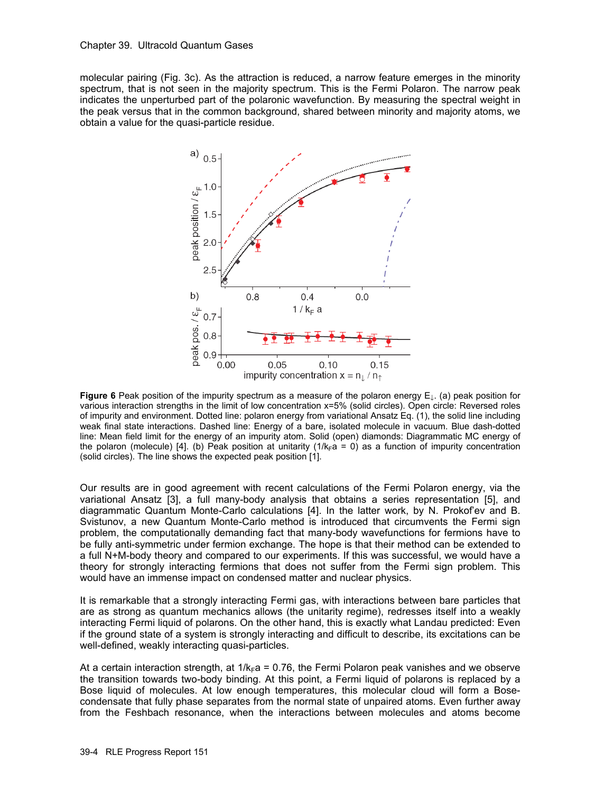molecular pairing (Fig. 3c). As the attraction is reduced, a narrow feature emerges in the minority spectrum, that is not seen in the majority spectrum. This is the Fermi Polaron. The narrow peak indicates the unperturbed part of the polaronic wavefunction. By measuring the spectral weight in the peak versus that in the common background, shared between minority and majority atoms, we obtain a value for the quasi-particle residue.



**Figure 6** Peak position of the impurity spectrum as a measure of the polaron energy E↓. (a) peak position for various interaction strengths in the limit of low concentration x=5% (solid circles). Open circle: Reversed roles of impurity and environment. Dotted line: polaron energy from variational Ansatz Eq. (1), the solid line including weak final state interactions. Dashed line: Energy of a bare, isolated molecule in vacuum. Blue dash-dotted line: Mean field limit for the energy of an impurity atom. Solid (open) diamonds: Diagrammatic MC energy of the polaron (molecule) [4]. (b) Peak position at unitarity ( $1/k_F a = 0$ ) as a function of impurity concentration (solid circles). The line shows the expected peak position [1].

Our results are in good agreement with recent calculations of the Fermi Polaron energy, via the variational Ansatz [3], a full many-body analysis that obtains a series representation [5], and diagrammatic Quantum Monte-Carlo calculations [4]. In the latter work, by N. Prokof'ev and B. Svistunov, a new Quantum Monte-Carlo method is introduced that circumvents the Fermi sign problem, the computationally demanding fact that many-body wavefunctions for fermions have to be fully anti-symmetric under fermion exchange. The hope is that their method can be extended to a full N+M-body theory and compared to our experiments. If this was successful, we would have a theory for strongly interacting fermions that does not suffer from the Fermi sign problem. This would have an immense impact on condensed matter and nuclear physics.

It is remarkable that a strongly interacting Fermi gas, with interactions between bare particles that are as strong as quantum mechanics allows (the unitarity regime), redresses itself into a weakly interacting Fermi liquid of polarons. On the other hand, this is exactly what Landau predicted: Even if the ground state of a system is strongly interacting and difficult to describe, its excitations can be well-defined, weakly interacting quasi-particles.

At a certain interaction strength, at  $1/k_F a = 0.76$ , the Fermi Polaron peak vanishes and we observe the transition towards two-body binding. At this point, a Fermi liquid of polarons is replaced by a Bose liquid of molecules. At low enough temperatures, this molecular cloud will form a Bosecondensate that fully phase separates from the normal state of unpaired atoms. Even further away from the Feshbach resonance, when the interactions between molecules and atoms become